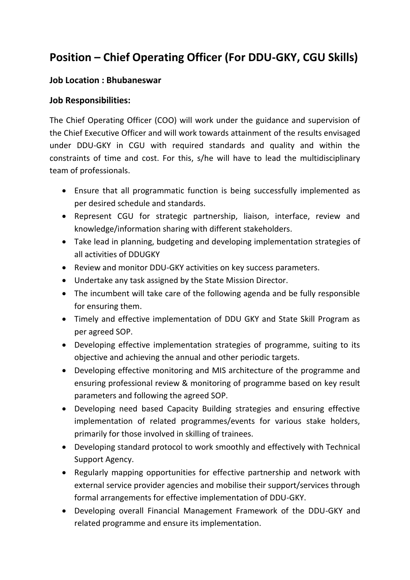## **Position – Chief Operating Officer (For DDU-GKY, CGU Skills)**

## **Job Location : Bhubaneswar**

## **Job Responsibilities:**

The Chief Operating Officer (COO) will work under the guidance and supervision of the Chief Executive Officer and will work towards attainment of the results envisaged under DDU-GKY in CGU with required standards and quality and within the constraints of time and cost. For this, s/he will have to lead the multidisciplinary team of professionals.

- Ensure that all programmatic function is being successfully implemented as per desired schedule and standards.
- Represent CGU for strategic partnership, liaison, interface, review and knowledge/information sharing with different stakeholders.
- Take lead in planning, budgeting and developing implementation strategies of all activities of DDUGKY
- Review and monitor DDU-GKY activities on key success parameters.
- Undertake any task assigned by the State Mission Director.
- The incumbent will take care of the following agenda and be fully responsible for ensuring them.
- Timely and effective implementation of DDU GKY and State Skill Program as per agreed SOP.
- Developing effective implementation strategies of programme, suiting to its objective and achieving the annual and other periodic targets.
- Developing effective monitoring and MIS architecture of the programme and ensuring professional review & monitoring of programme based on key result parameters and following the agreed SOP.
- Developing need based Capacity Building strategies and ensuring effective implementation of related programmes/events for various stake holders, primarily for those involved in skilling of trainees.
- Developing standard protocol to work smoothly and effectively with Technical Support Agency.
- Regularly mapping opportunities for effective partnership and network with external service provider agencies and mobilise their support/services through formal arrangements for effective implementation of DDU-GKY.
- Developing overall Financial Management Framework of the DDU-GKY and related programme and ensure its implementation.